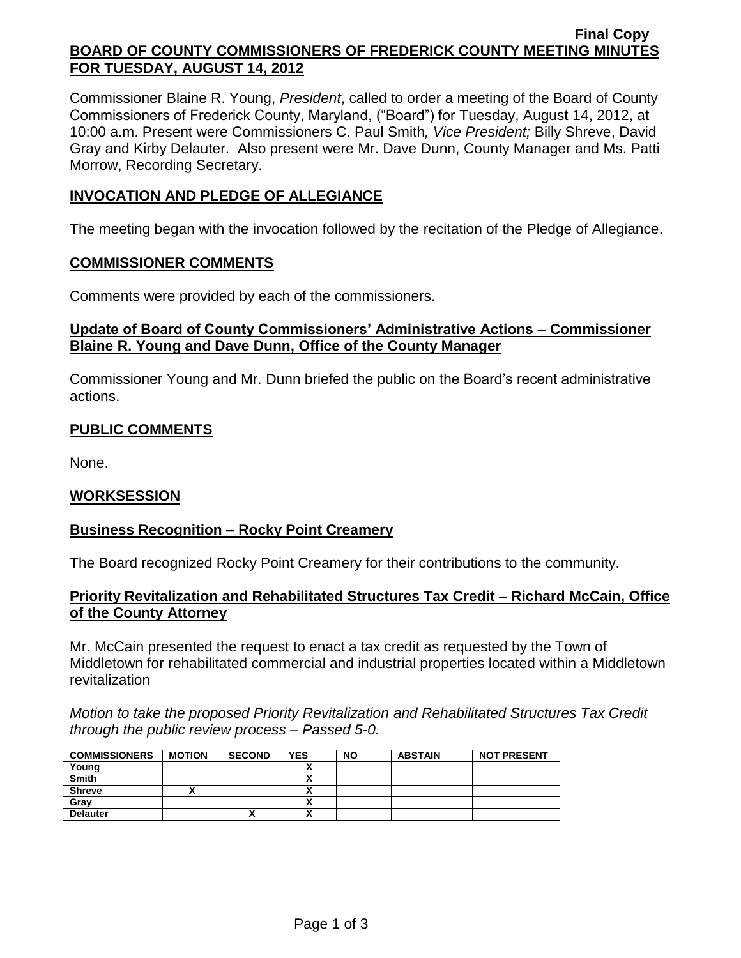#### **Final Copy BOARD OF COUNTY COMMISSIONERS OF FREDERICK COUNTY MEETING MINUTES FOR TUESDAY, AUGUST 14, 2012**

Commissioner Blaine R. Young, *President*, called to order a meeting of the Board of County Commissioners of Frederick County, Maryland, ("Board") for Tuesday, August 14, 2012, at 10:00 a.m. Present were Commissioners C. Paul Smith*, Vice President;* Billy Shreve, David Gray and Kirby Delauter. Also present were Mr. Dave Dunn, County Manager and Ms. Patti Morrow, Recording Secretary.

## **INVOCATION AND PLEDGE OF ALLEGIANCE**

The meeting began with the invocation followed by the recitation of the Pledge of Allegiance.

#### **COMMISSIONER COMMENTS**

Comments were provided by each of the commissioners.

### **Update of Board of County Commissioners' Administrative Actions – Commissioner Blaine R. Young and Dave Dunn, Office of the County Manager**

Commissioner Young and Mr. Dunn briefed the public on the Board's recent administrative actions.

## **PUBLIC COMMENTS**

None.

### **WORKSESSION**

### **Business Recognition – Rocky Point Creamery**

The Board recognized Rocky Point Creamery for their contributions to the community.

### **Priority Revitalization and Rehabilitated Structures Tax Credit – Richard McCain, Office of the County Attorney**

Mr. McCain presented the request to enact a tax credit as requested by the Town of Middletown for rehabilitated commercial and industrial properties located within a Middletown revitalization

*Motion to take the proposed Priority Revitalization and Rehabilitated Structures Tax Credit through the public review process – Passed 5-0.*

| <b>COMMISSIONERS</b> | <b>MOTION</b> | <b>SECOND</b> | YES                       | <b>NO</b> | <b>ABSTAIN</b> | <b>NOT PRESENT</b> |
|----------------------|---------------|---------------|---------------------------|-----------|----------------|--------------------|
| Young                |               |               |                           |           |                |                    |
| <b>Smith</b>         |               |               |                           |           |                |                    |
| <b>Shreve</b>        |               |               |                           |           |                |                    |
| Gray                 |               |               |                           |           |                |                    |
| <b>Delauter</b>      |               | ^             | $\ddot{\phantom{0}}$<br>^ |           |                |                    |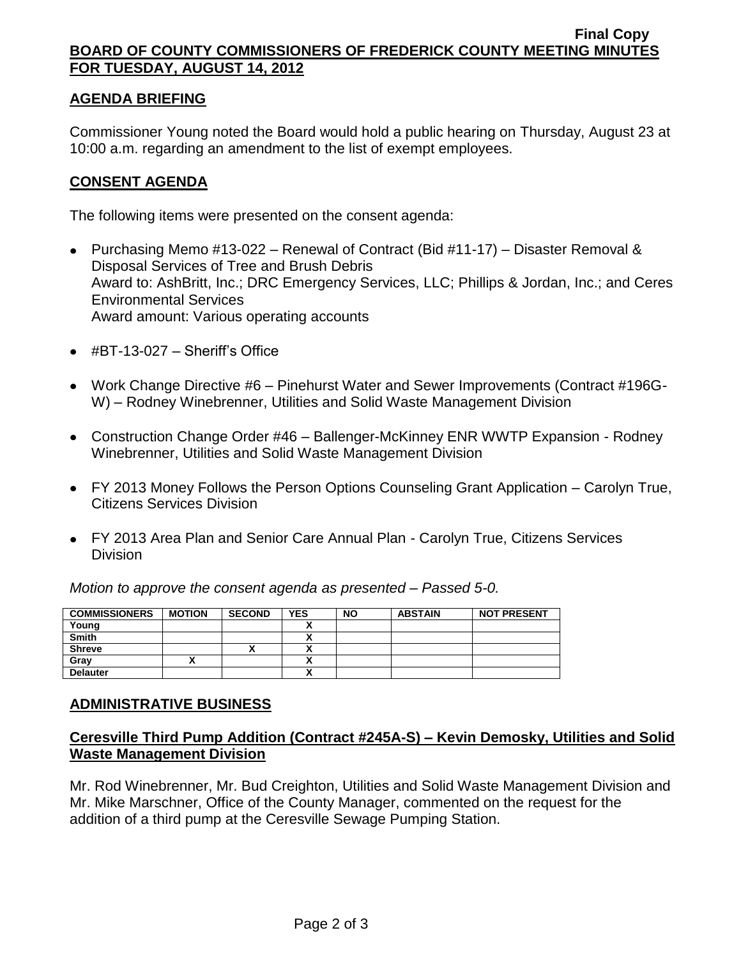#### **Final Copy BOARD OF COUNTY COMMISSIONERS OF FREDERICK COUNTY MEETING MINUTES FOR TUESDAY, AUGUST 14, 2012**

### **AGENDA BRIEFING**

Commissioner Young noted the Board would hold a public hearing on Thursday, August 23 at 10:00 a.m. regarding an amendment to the list of exempt employees.

### **CONSENT AGENDA**

The following items were presented on the consent agenda:

- Purchasing Memo #13-022 Renewal of Contract (Bid #11-17) Disaster Removal & Disposal Services of Tree and Brush Debris Award to: AshBritt, Inc.; DRC Emergency Services, LLC; Phillips & Jordan, Inc.; and Ceres Environmental Services Award amount: Various operating accounts
- $\bullet$  #BT-13-027 Sheriff's Office
- Work Change Directive #6 Pinehurst Water and Sewer Improvements (Contract #196G-W) – Rodney Winebrenner, Utilities and Solid Waste Management Division
- Construction Change Order #46 Ballenger-McKinney ENR WWTP Expansion Rodney Winebrenner, Utilities and Solid Waste Management Division
- FY 2013 Money Follows the Person Options Counseling Grant Application Carolyn True, Citizens Services Division
- FY 2013 Area Plan and Senior Care Annual Plan Carolyn True, Citizens Services **Division**

*Motion to approve the consent agenda as presented – Passed 5-0.*

| <b>COMMISSIONERS</b> | <b>MOTION</b> | <b>SECOND</b> | <b>YES</b> | <b>NO</b> | <b>ABSTAIN</b> | <b>NOT PRESENT</b> |
|----------------------|---------------|---------------|------------|-----------|----------------|--------------------|
| Young                |               |               |            |           |                |                    |
| <b>Smith</b>         |               |               |            |           |                |                    |
| <b>Shreve</b>        |               |               |            |           |                |                    |
| Gray                 |               |               | n          |           |                |                    |
| <b>Delauter</b>      |               |               | n          |           |                |                    |

### **ADMINISTRATIVE BUSINESS**

## **Ceresville Third Pump Addition (Contract #245A-S) – Kevin Demosky, Utilities and Solid Waste Management Division**

Mr. Rod Winebrenner, Mr. Bud Creighton, Utilities and Solid Waste Management Division and Mr. Mike Marschner, Office of the County Manager, commented on the request for the addition of a third pump at the Ceresville Sewage Pumping Station.